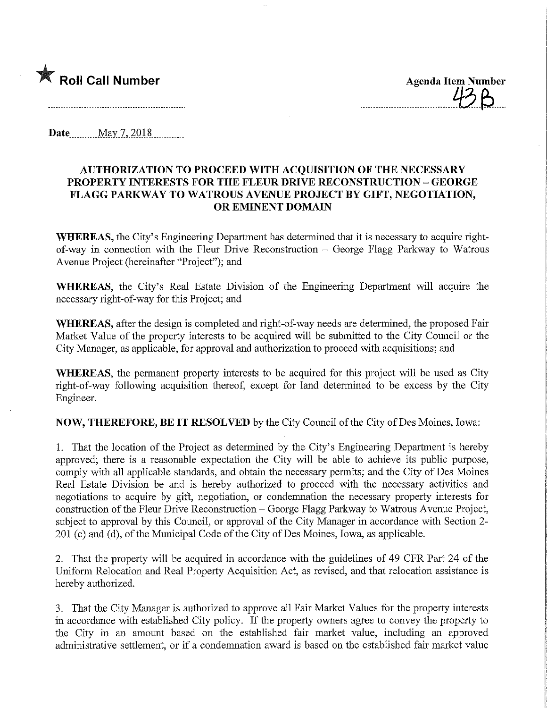

Date..........May7,2Q18

## AUTHORIZATION TO PROCEED WITH ACQUISITION OF THE NECESSARY PROPERTY INTERESTS FOR THE FLEUR DRIVE RECONSTRUCTION - GEORGE FLAGG PARKWAY TO WATROUS AVENUE PROJECT BY GIFT, NEGOTIATION, OR EMINENT DOMAIN

WHEREAS, the City's Engineering Department has determined that it is necessary to acquire rightof-way in connection with the Fleur Drive Reconstruction  $-$  George Flagg Parkway to Watrous Avenue Project (hereinafter "Project"); and

WHEREAS, the City's Real Estate Division of the Engineering Department will acquire the necessary right-of-way for this Project; and

WHEREAS, after the design is completed and right-of-way needs are determined, the proposed Fair Market Value of the property interests to be acquired will be submitted to the City Council or the City Manager, as applicable, for approval and authorization to proceed with acquisitions; and

WHEREAS, the permanent property interests to be acquired for this project will be used as City right-of-way following acquisition thereof, except for land determined to be excess by the City Engineer.

NOW, THEREFORE, BE IT RESOLVED by the City Council of the City of Des Moines, Iowa:

1. That the location of the Project as determined by the City's Engineering Department is hereby approved; there is a reasonable expectation the City will be able to achieve its public purpose, comply with all applicable standards, and obtain the necessary permits; and the City of Des Moines Real Estate Division be and is hereby authorized to proceed with the necessary activities and negotiations to acquire by gift, negotiation, or condemnation the necessary property interests for construction of the Fleur Drive Reconstruction – George Flagg Parkway to Watrous Avenue Project, subject to approval by this Council, or approval of the City Manager m accordance with Section 2- 201 (c) and (d), of the Municipal Code of the City of Des Moines, Iowa, as applicable.

2. That the property will be acquired in accordance with the guidelines of 49 CFR Part 24 of the Uniform Relocation and Real Property Acquisition Act, as revised, and that relocation assistance is hereby authorized.

3. That the City Manager is authorized to approve all Fair Market Values for the property interests in accordance with established City policy. If the property owners agree to convey the property to the City in an amount based on the established fair market value, including an approved administrative settlement, or if a condemnation award is based on the established fair market value